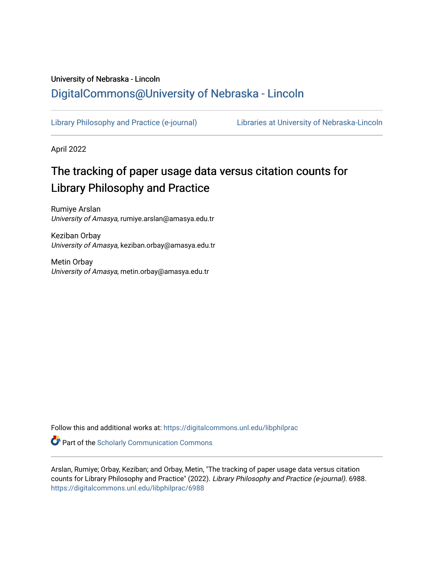### University of Nebraska - Lincoln [DigitalCommons@University of Nebraska - Lincoln](https://digitalcommons.unl.edu/)

[Library Philosophy and Practice \(e-journal\)](https://digitalcommons.unl.edu/libphilprac) [Libraries at University of Nebraska-Lincoln](https://digitalcommons.unl.edu/libraries) 

April 2022

## The tracking of paper usage data versus citation counts for Library Philosophy and Practice

Rumiye Arslan University of Amasya, rumiye.arslan@amasya.edu.tr

Keziban Orbay University of Amasya, keziban.orbay@amasya.edu.tr

Metin Orbay University of Amasya, metin.orbay@amasya.edu.tr

Follow this and additional works at: [https://digitalcommons.unl.edu/libphilprac](https://digitalcommons.unl.edu/libphilprac?utm_source=digitalcommons.unl.edu%2Flibphilprac%2F6988&utm_medium=PDF&utm_campaign=PDFCoverPages) 

**Part of the Scholarly Communication Commons** 

Arslan, Rumiye; Orbay, Keziban; and Orbay, Metin, "The tracking of paper usage data versus citation counts for Library Philosophy and Practice" (2022). Library Philosophy and Practice (e-journal). 6988. [https://digitalcommons.unl.edu/libphilprac/6988](https://digitalcommons.unl.edu/libphilprac/6988?utm_source=digitalcommons.unl.edu%2Flibphilprac%2F6988&utm_medium=PDF&utm_campaign=PDFCoverPages)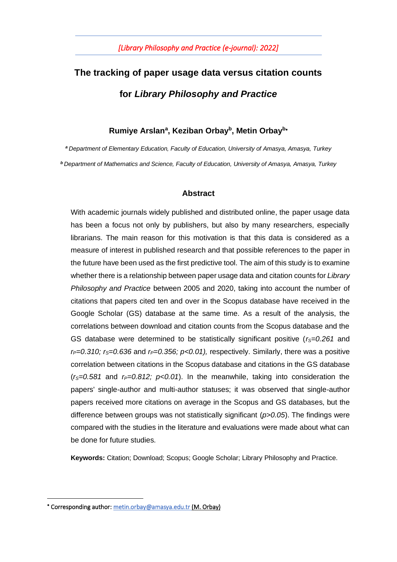# **The tracking of paper usage data versus citation counts for** *Library Philosophy and Practice*

#### **Rumiye Arslan<sup>a</sup> , Keziban Orbay<sup>b</sup> , Metin Orbay<sup>b</sup>**

*<sup>a</sup>Department of Elementary Education, Faculty of Education, University of Amasya, Amasya, Turkey <sup>b</sup> Department of Mathematics and Science, Faculty of Education, University of Amasya, Amasya, Turkey*

#### **Abstract**

With academic journals widely published and distributed online, the paper usage data has been a focus not only by publishers, but also by many researchers, especially librarians. The main reason for this motivation is that this data is considered as a measure of interest in published research and that possible references to the paper in the future have been used as the first predictive tool. The aim of this study is to examine whether there is a relationship between paper usage data and citation counts for *Library Philosophy and Practice* between 2005 and 2020, taking into account the number of citations that papers cited ten and over in the Scopus database have received in the Google Scholar (GS) database at the same time. As a result of the analysis, the correlations between download and citation counts from the Scopus database and the GS database were determined to be statistically significant positive (*rS=0.261* and *rP=0.310; rS=0.636* and *rP=0.356; p<0.01),* respectively. Similarly, there was a positive correlation between citations in the Scopus database and citations in the GS database  $(r<sub>S</sub>=0.581$  and  $r<sub>P</sub>=0.812$ ;  $p<0.01$ ). In the meanwhile, taking into consideration the papers' single-author and multi-author statuses; it was observed that single-author papers received more citations on average in the Scopus and GS databases, but the difference between groups was not statistically significant (*p>0.05*). The findings were compared with the studies in the literature and evaluations were made about what can be done for future studies.

**Keywords:** Citation; Download; Scopus; Google Scholar; Library Philosophy and Practice.

<sup>\*</sup> Corresponding author: [metin.orbay@amasya.edu.tr](mailto:metin.orbay@amasya.edu.tr) (M. Orbay)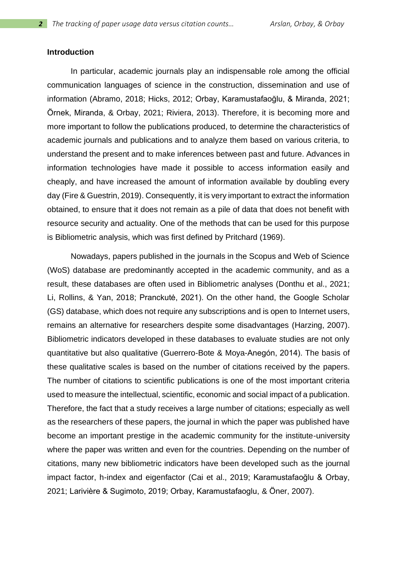#### **Introduction**

In particular, academic journals play an indispensable role among the official communication languages of science in the construction, dissemination and use of information (Abramo, 2018; Hicks, 2012; Orbay, Karamustafaoğlu, & Miranda, 2021; Örnek, Miranda, & Orbay, 2021; Riviera, 2013). Therefore, it is becoming more and more important to follow the publications produced, to determine the characteristics of academic journals and publications and to analyze them based on various criteria, to understand the present and to make inferences between past and future. Advances in information technologies have made it possible to access information easily and cheaply, and have increased the amount of information available by doubling every day (Fire & Guestrin, 2019). Consequently, it is very important to extract the information obtained, to ensure that it does not remain as a pile of data that does not benefit with resource security and actuality. One of the methods that can be used for this purpose is Bibliometric analysis, which was first defined by Pritchard (1969).

Nowadays, papers published in the journals in the Scopus and Web of Science (WoS) database are predominantly accepted in the academic community, and as a result, these databases are often used in Bibliometric analyses (Donthu et al., 2021; Li, Rollins, & Yan, 2018; Pranckutė, 2021). On the other hand, the Google Scholar (GS) database, which does not require any subscriptions and is open to Internet users, remains an alternative for researchers despite some disadvantages (Harzing, 2007). Bibliometric indicators developed in these databases to evaluate studies are not only quantitative but also qualitative (Guerrero-Bote & Moya-Anegón, 2014). The basis of these qualitative scales is based on the number of citations received by the papers. The number of citations to scientific publications is one of the most important criteria used to measure the intellectual, scientific, economic and social impact of a publication. Therefore, the fact that a study receives a large number of citations; especially as well as the researchers of these papers, the journal in which the paper was published have become an important prestige in the academic community for the institute-university where the paper was written and even for the countries. Depending on the number of citations, many new bibliometric indicators have been developed such as the journal impact factor, h-index and eigenfactor (Cai et al., 2019; Karamustafaoğlu & Orbay, 2021; Larivière & Sugimoto, 2019; Orbay, Karamustafaoglu, & Öner, 2007).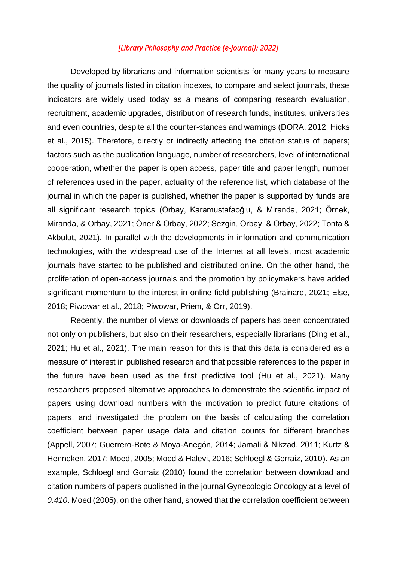Developed by librarians and information scientists for many years to measure the quality of journals listed in citation indexes, to compare and select journals, these indicators are widely used today as a means of comparing research evaluation, recruitment, academic upgrades, distribution of research funds, institutes, universities and even countries, despite all the counter-stances and warnings (DORA, 2012; Hicks et al., 2015). Therefore, directly or indirectly affecting the citation status of papers; factors such as the publication language, number of researchers, level of international cooperation, whether the paper is open access, paper title and paper length, number of references used in the paper, actuality of the reference list, which database of the journal in which the paper is published, whether the paper is supported by funds are all significant research topics (Orbay, Karamustafaoğlu, & Miranda, 2021; Örnek, Miranda, & Orbay, 2021; Öner & Orbay, 2022; Sezgin, Orbay, & Orbay, 2022; Tonta & Akbulut, 2021). In parallel with the developments in information and communication technologies, with the widespread use of the Internet at all levels, most academic journals have started to be published and distributed online. On the other hand, the proliferation of open-access journals and the promotion by policymakers have added significant momentum to the interest in online field publishing (Brainard, 2021; Else, 2018; Piwowar et al., 2018; Piwowar, Priem, & Orr, 2019).

Recently, the number of views or downloads of papers has been concentrated not only on publishers, but also on their researchers, especially librarians (Ding et al., 2021; Hu et al., 2021). The main reason for this is that this data is considered as a measure of interest in published research and that possible references to the paper in the future have been used as the first predictive tool (Hu et al., 2021). Many researchers proposed alternative approaches to demonstrate the scientific impact of papers using download numbers with the motivation to predict future citations of papers, and investigated the problem on the basis of calculating the correlation coefficient between paper usage data and citation counts for different branches (Appell, 2007; Guerrero-Bote & Moya-Anegón, 2014; Jamali & Nikzad, 2011; Kurtz & Henneken, 2017; Moed, 2005; Moed & Halevi, 2016; Schloegl & Gorraiz, 2010). As an example, Schloegl and Gorraiz (2010) found the correlation between download and citation numbers of papers published in the journal Gynecologic Oncology at a level of *0.410*. Moed (2005), on the other hand, showed that the correlation coefficient between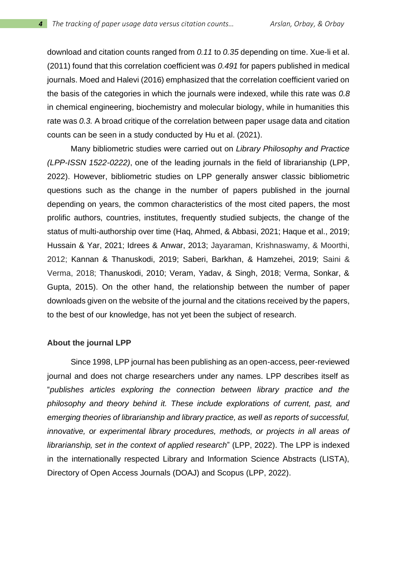download and citation counts ranged from *0.11* to *0.35* depending on time. Xue-li et al. (2011) found that this correlation coefficient was *0.491* for papers published in medical journals. Moed and Halevi (2016) emphasized that the correlation coefficient varied on the basis of the categories in which the journals were indexed, while this rate was *0.8* in chemical engineering, biochemistry and molecular biology, while in humanities this rate was *0.3.* A broad critique of the correlation between paper usage data and citation counts can be seen in a study conducted by Hu et al. (2021).

Many bibliometric studies were carried out on *Library Philosophy and Practice (LPP-ISSN 1522-0222)*, one of the leading journals in the field of librarianship (LPP, 2022). However, bibliometric studies on LPP generally answer classic bibliometric questions such as the change in the number of papers published in the journal depending on years, the common characteristics of the most cited papers, the most prolific authors, countries, institutes, frequently studied subjects, the change of the status of multi-authorship over time (Haq, Ahmed, & Abbasi, 2021; Haque et al., 2019; Hussain & Yar, 2021; Idrees & Anwar, 2013; Jayaraman, Krishnaswamy, & Moorthi, 2012; Kannan & Thanuskodi, 2019; Saberi, Barkhan, & Hamzehei, 2019; Saini & Verma, 2018; Thanuskodi, 2010; Veram, Yadav, & Singh, 2018; Verma, Sonkar, & Gupta, 2015). On the other hand, the relationship between the number of paper downloads given on the website of the journal and the citations received by the papers, to the best of our knowledge, has not yet been the subject of research.

#### **About the journal LPP**

Since 1998, LPP journal has been publishing as an open-access, peer-reviewed journal and does not charge researchers under any names. LPP describes itself as "*publishes articles exploring the connection between library practice and the philosophy and theory behind it. These include explorations of current, past, and emerging theories of librarianship and library practice, as well as reports of successful, innovative, or experimental library procedures, methods, or projects in all areas of librarianship, set in the context of applied research*" (LPP, 2022). The LPP is indexed in the internationally respected Library and Information Science Abstracts (LISTA), Directory of Open Access Journals (DOAJ) and Scopus (LPP, 2022).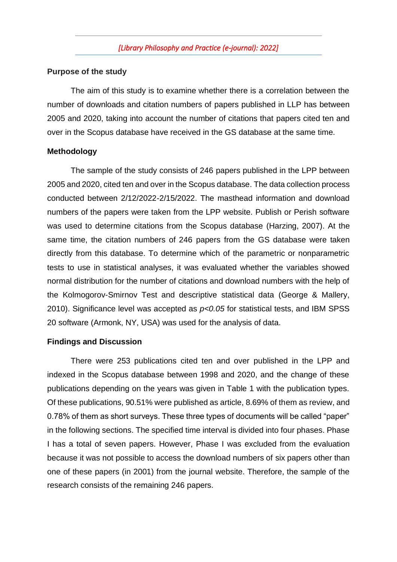#### **Purpose of the study**

The aim of this study is to examine whether there is a correlation between the number of downloads and citation numbers of papers published in LLP has between 2005 and 2020, taking into account the number of citations that papers cited ten and over in the Scopus database have received in the GS database at the same time.

#### **Methodology**

The sample of the study consists of 246 papers published in the LPP between 2005 and 2020, cited ten and over in the Scopus database. The data collection process conducted between 2/12/2022-2/15/2022. The masthead information and download numbers of the papers were taken from the LPP website. Publish or Perish software was used to determine citations from the Scopus database (Harzing, 2007). At the same time, the citation numbers of 246 papers from the GS database were taken directly from this database. To determine which of the parametric or nonparametric tests to use in statistical analyses, it was evaluated whether the variables showed normal distribution for the number of citations and download numbers with the help of the Kolmogorov-Smirnov Test and descriptive statistical data (George & Mallery, 2010). Significance level was accepted as *p<0.05* for statistical tests, and IBM SPSS 20 software (Armonk, NY, USA) was used for the analysis of data.

#### **Findings and Discussion**

There were 253 publications cited ten and over published in the LPP and indexed in the Scopus database between 1998 and 2020, and the change of these publications depending on the years was given in Table 1 with the publication types. Of these publications, 90.51% were published as article, 8.69% of them as review, and 0.78% of them as short surveys. These three types of documents will be called "paper" in the following sections. The specified time interval is divided into four phases. Phase I has a total of seven papers. However, Phase I was excluded from the evaluation because it was not possible to access the download numbers of six papers other than one of these papers (in 2001) from the journal website. Therefore, the sample of the research consists of the remaining 246 papers.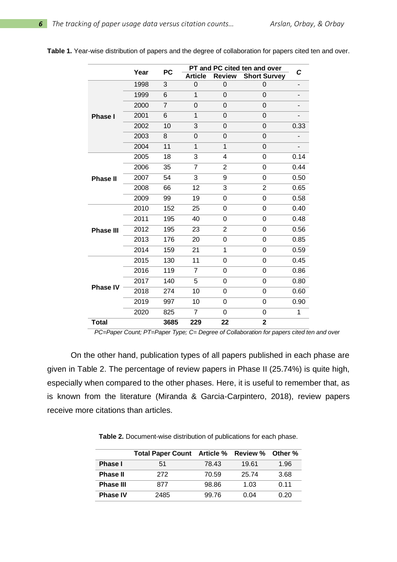|                  | Year | <b>PC</b> | PT and PC cited ten and over | C                |                     |      |
|------------------|------|-----------|------------------------------|------------------|---------------------|------|
|                  |      |           | <b>Article</b>               | <b>Review</b>    | <b>Short Survey</b> |      |
|                  | 1998 | 3         | $\mathbf 0$                  | 0                | 0                   |      |
|                  | 1999 | 6         | $\mathbf{1}$                 | 0                | 0                   |      |
|                  | 2000 | 7         | 0                            | 0                | 0                   |      |
| <b>Phase I</b>   | 2001 | 6         | 1                            | 0                | 0                   |      |
|                  | 2002 | 10        | 3                            | 0                | 0                   | 0.33 |
|                  | 2003 | 8         | 0                            | 0                | 0                   |      |
|                  | 2004 | 11        | 1                            | 1                | 0                   |      |
|                  | 2005 | 18        | 3                            | 4                | 0                   | 0.14 |
|                  | 2006 | 35        | $\overline{7}$               | 2                | 0                   | 0.44 |
| <b>Phase II</b>  | 2007 | 54        | 3                            | 9                | 0                   | 0.50 |
|                  | 2008 | 66        | 12                           | $\overline{3}$   | $\overline{2}$      | 0.65 |
|                  | 2009 | 99        | 19                           | 0                | 0                   | 0.58 |
|                  | 2010 | 152       | 25                           | 0                | $\overline{0}$      | 0.40 |
|                  | 2011 | 195       | 40                           | 0                | 0                   | 0.48 |
| <b>Phase III</b> | 2012 | 195       | 23                           | $\overline{2}$   | 0                   | 0.56 |
|                  | 2013 | 176       | 20                           | 0                | 0                   | 0.85 |
|                  | 2014 | 159       | 21                           | 1                | 0                   | 0.59 |
|                  | 2015 | 130       | 11                           | 0                | 0                   | 0.45 |
|                  | 2016 | 119       | $\overline{7}$               | 0                | 0                   | 0.86 |
| <b>Phase IV</b>  | 2017 | 140       | 5                            | 0                | 0                   | 0.80 |
|                  | 2018 | 274       | 10                           | 0                | 0                   | 0.60 |
|                  | 2019 | 997       | 10                           | $\boldsymbol{0}$ | $\mathbf 0$         | 0.90 |
|                  | 2020 | 825       | $\overline{7}$               | 0                | 0                   | 1    |
| <b>Total</b>     |      | 3685      | 229                          | 22               | $\mathbf 2$         |      |

**Table 1.** Year-wise distribution of papers and the degree of collaboration for papers cited ten and over.

*PC=Paper Count; PT=Paper Type; C= Degree of Collaboration for papers cited ten and over*

On the other hand, publication types of all papers published in each phase are given in Table 2. The percentage of review papers in Phase II (25.74%) is quite high, especially when compared to the other phases. Here, it is useful to remember that, as is known from the literature (Miranda & Garcia-Carpintero, 2018), review papers receive more citations than articles.

**Table 2.** Document-wise distribution of publications for each phase.

|                  | Total Paper Count Article % Review % Other % |       |       |             |
|------------------|----------------------------------------------|-------|-------|-------------|
| Phase I          | 51                                           | 78.43 | 19.61 | 1.96        |
| <b>Phase II</b>  | 272                                          | 70.59 | 25.74 | 3.68        |
| <b>Phase III</b> | 877                                          | 98.86 | 1 03  | በ 11        |
| <b>Phase IV</b>  | 2485                                         | 99.76 | በ በ4  | <u>በ 20</u> |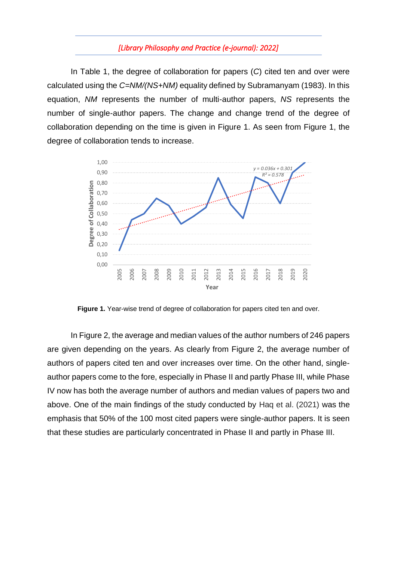In Table 1, the degree of collaboration for papers (*C*) cited ten and over were calculated using the *C=NM/(NS+NM)* equality defined by Subramanyam (1983). In this equation, *NM* represents the number of multi-author papers, *NS* represents the number of single-author papers. The change and change trend of the degree of collaboration depending on the time is given in Figure 1. As seen from Figure 1, the degree of collaboration tends to increase.



**Figure 1.** Year-wise trend of degree of collaboration for papers cited ten and over.

In Figure 2, the average and median values of the author numbers of 246 papers are given depending on the years. As clearly from Figure 2, the average number of authors of papers cited ten and over increases over time. On the other hand, singleauthor papers come to the fore, especially in Phase II and partly Phase III, while Phase IV now has both the average number of authors and median values of papers two and above. One of the main findings of the study conducted by Haq et al. (2021) was the emphasis that 50% of the 100 most cited papers were single-author papers. It is seen that these studies are particularly concentrated in Phase II and partly in Phase III.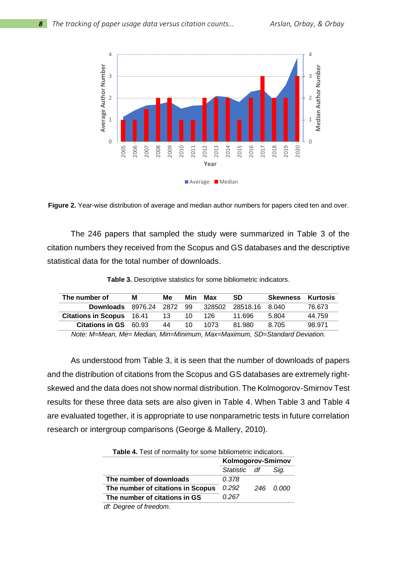

**Figure 2.** Year-wise distribution of average and median author numbers for papers cited ten and over.

The 246 papers that sampled the study were summarized in Table 3 of the citation numbers they received from the Scopus and GS databases and the descriptive statistical data for the total number of downloads.

**Table 3.** Descriptive statistics for some bibliometric indicators.

| The number of              | м       | Me   | Min | Max    | <b>SD</b>      | <b>Skewness</b> | Kurtosis |
|----------------------------|---------|------|-----|--------|----------------|-----------------|----------|
| <b>Downloads</b>           | 8976.24 | 2872 | -99 | 328502 | 28518.16 8.040 |                 | 76.673   |
| <b>Citations in Scopus</b> | 16.41   | 13   | 10  | 126    | 11 696         | 5.804           | 44.759   |
| Citations in GS 60.93      |         | 44   | 10  | 1073   | 81.980         | 8.705           | 98.971   |

*Note: M=Mean, Me= Median, Min=Minimum, Max=Maximum, SD=Standard Deviation.*

As understood from Table 3, it is seen that the number of downloads of papers and the distribution of citations from the Scopus and GS databases are extremely rightskewed and the data does not show normal distribution. The Kolmogorov-Smirnov Test results for these three data sets are also given in Table 4. When Table 3 and Table 4 are evaluated together, it is appropriate to use nonparametric tests in future correlation research or intergroup comparisons (George & Mallery, 2010).

|                                   | Kolmogorov-Smirnov |      |           |  |
|-----------------------------------|--------------------|------|-----------|--|
|                                   | Statistic df       | Sig. |           |  |
| The number of downloads           | 0.378              |      |           |  |
| The number of citations in Scopus | 0.292              |      | 246 0.000 |  |
| The number of citations in GS     | 0.267              |      |           |  |
| alf. Dogwood af fynnadogo         |                    |      |           |  |

 *df: Degree of freedom.*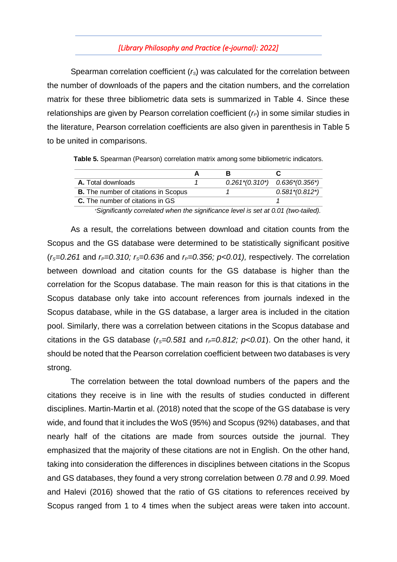Spearman correlation coefficient (*rS*) was calculated for the correlation between the number of downloads of the papers and the citation numbers, and the correlation matrix for these three bibliometric data sets is summarized in Table 4. Since these relationships are given by Pearson correlation coefficient (*rP*) in some similar studies in the literature, Pearson correlation coefficients are also given in parenthesis in Table 5 to be united in comparisons.

**Table 5.** Spearman (Pearson) correlation matrix among some bibliometric indicators.

| <b>A.</b> Total downloads                   | $0.261*(0.310^*)$ $0.636*(0.356^*)$ |                   |
|---------------------------------------------|-------------------------------------|-------------------|
| <b>B.</b> The number of citations in Scopus |                                     | $0.581*(0.812^*)$ |
| <b>C.</b> The number of citations in GS     |                                     |                   |

<sup>∗</sup>*Significantly correlated when the significance level is set at 0.01 (two-tailed).*

As a result, the correlations between download and citation counts from the Scopus and the GS database were determined to be statistically significant positive (*rS=0.261* and *rP=0.310; rS=0.636* and *rP=0.356; p<0.01),* respectively. The correlation between download and citation counts for the GS database is higher than the correlation for the Scopus database. The main reason for this is that citations in the Scopus database only take into account references from journals indexed in the Scopus database, while in the GS database, a larger area is included in the citation pool. Similarly, there was a correlation between citations in the Scopus database and citations in the GS database ( $r_s$ =0.581 and  $r_p$ =0.812;  $p$ <0.01). On the other hand, it should be noted that the Pearson correlation coefficient between two databases is very strong.

The correlation between the total download numbers of the papers and the citations they receive is in line with the results of studies conducted in different disciplines. Martin-Martin et al. (2018) noted that the scope of the GS database is very wide, and found that it includes the WoS (95%) and Scopus (92%) databases, and that nearly half of the citations are made from sources outside the journal. They emphasized that the majority of these citations are not in English. On the other hand, taking into consideration the differences in disciplines between citations in the Scopus and GS databases, they found a very strong correlation between *0.78* and *0.99*. Moed and Halevi (2016) showed that the ratio of GS citations to references received by Scopus ranged from 1 to 4 times when the subject areas were taken into account.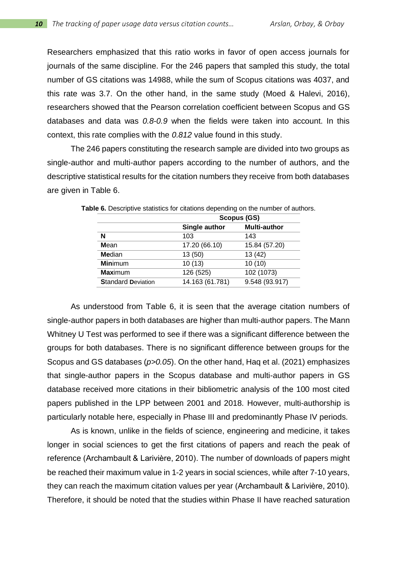Researchers emphasized that this ratio works in favor of open access journals for journals of the same discipline. For the 246 papers that sampled this study, the total number of GS citations was 14988, while the sum of Scopus citations was 4037, and this rate was 3.7. On the other hand, in the same study (Moed & Halevi, 2016), researchers showed that the Pearson correlation coefficient between Scopus and GS databases and data was *0.8-0.9* when the fields were taken into account. In this context, this rate complies with the *0.812* value found in this study.

The 246 papers constituting the research sample are divided into two groups as single-author and multi-author papers according to the number of authors, and the descriptive statistical results for the citation numbers they receive from both databases are given in Table 6.

|                           | Scopus (GS)     |                     |  |  |  |  |  |
|---------------------------|-----------------|---------------------|--|--|--|--|--|
|                           | Single author   | <b>Multi-author</b> |  |  |  |  |  |
| N                         | 103             | 143                 |  |  |  |  |  |
| Mean                      | 17.20 (66.10)   | 15.84 (57.20)       |  |  |  |  |  |
| Median                    | 13 (50)         | 13 (42)             |  |  |  |  |  |
| <b>Minimum</b>            | 10(13)          | 10(10)              |  |  |  |  |  |
| <b>Maximum</b>            | 126 (525)       | 102 (1073)          |  |  |  |  |  |
| <b>Standard Deviation</b> | 14.163 (61.781) | 9.548 (93.917)      |  |  |  |  |  |
|                           |                 |                     |  |  |  |  |  |

**Table 6.** Descriptive statistics for citations depending on the number of authors.

As understood from Table 6, it is seen that the average citation numbers of single-author papers in both databases are higher than multi-author papers. The Mann Whitney U Test was performed to see if there was a significant difference between the groups for both databases. There is no significant difference between groups for the Scopus and GS databases (*p>0.05*). On the other hand, Haq et al. (2021) emphasizes that single-author papers in the Scopus database and multi-author papers in GS database received more citations in their bibliometric analysis of the 100 most cited papers published in the LPP between 2001 and 2018. However, multi-authorship is particularly notable here, especially in Phase III and predominantly Phase IV periods.

As is known, unlike in the fields of science, engineering and medicine, it takes longer in social sciences to get the first citations of papers and reach the peak of reference (Archambault & Larivière, 2010). The number of downloads of papers might be reached their maximum value in 1-2 years in social sciences, while after 7-10 years, they can reach the maximum citation values per year (Archambault & Larivière, 2010). Therefore, it should be noted that the studies within Phase II have reached saturation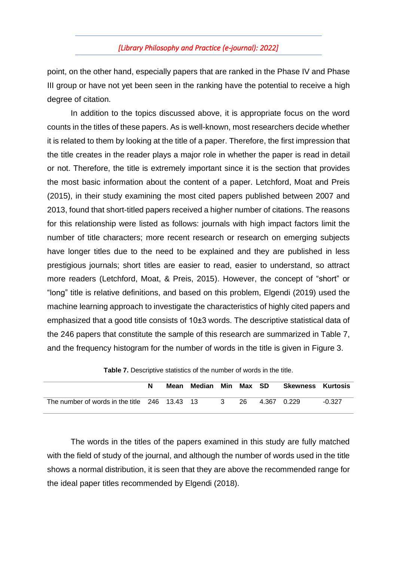point, on the other hand, especially papers that are ranked in the Phase IV and Phase III group or have not yet been seen in the ranking have the potential to receive a high degree of citation.

In addition to the topics discussed above, it is appropriate focus on the word counts in the titles of these papers. As is well-known, most researchers decide whether it is related to them by looking at the title of a paper. Therefore, the first impression that the title creates in the reader plays a major role in whether the paper is read in detail or not. Therefore, the title is extremely important since it is the section that provides the most basic information about the content of a paper. Letchford, Moat and Preis (2015), in their study examining the most cited papers published between 2007 and 2013, found that short-titled papers received a higher number of citations. The reasons for this relationship were listed as follows: journals with high impact factors limit the number of title characters; more recent research or research on emerging subjects have longer titles due to the need to be explained and they are published in less prestigious journals; short titles are easier to read, easier to understand, so attract more readers (Letchford, Moat, & Preis, 2015). However, the concept of "short" or "long" title is relative definitions, and based on this problem, Elgendi (2019) used the machine learning approach to investigate the characteristics of highly cited papers and emphasized that a good title consists of 10±3 words. The descriptive statistical data of the 246 papers that constitute the sample of this research are summarized in Table 7, and the frequency histogram for the number of words in the title is given in Figure 3.

|                                               | Mean | Median |   | Min Max SD | <b>Skewness Kurtosis</b> |          |
|-----------------------------------------------|------|--------|---|------------|--------------------------|----------|
| The number of words in the title 246 13.43 13 |      |        | 3 | 26.        | 4.367 0.229              | $-0.327$ |

**Table 7.** Descriptive statistics of the number of words in the title.

The words in the titles of the papers examined in this study are fully matched with the field of study of the journal, and although the number of words used in the title shows a normal distribution, it is seen that they are above the recommended range for the ideal paper titles recommended by Elgendi (2018).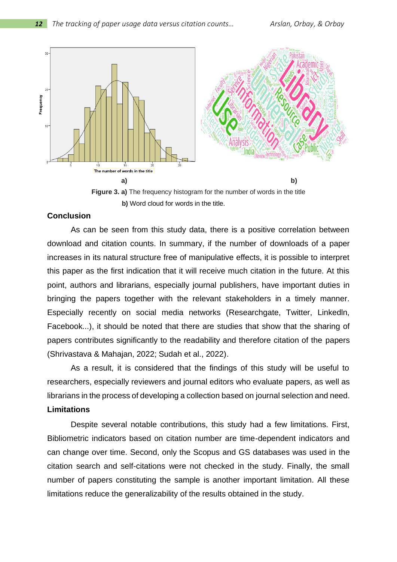

**Figure 3. a)** The frequency histogram for the number of words in the title **b)** Word cloud for words in the title.

#### **Conclusion**

As can be seen from this study data, there is a positive correlation between download and citation counts. In summary, if the number of downloads of a paper increases in its natural structure free of manipulative effects, it is possible to interpret this paper as the first indication that it will receive much citation in the future. At this point, authors and librarians, especially journal publishers, have important duties in bringing the papers together with the relevant stakeholders in a timely manner. Especially recently on social media networks (Researchgate, Twitter, Linkedln, Facebook...), it should be noted that there are studies that show that the sharing of papers contributes significantly to the readability and therefore citation of the papers (Shrivastava & Mahajan, 2022; Sudah et al., 2022).

As a result, it is considered that the findings of this study will be useful to researchers, especially reviewers and journal editors who evaluate papers, as well as librarians in the process of developing a collection based on journal selection and need. **Limitations**

Despite several notable contributions, this study had a few limitations. First, Bibliometric indicators based on citation number are time-dependent indicators and can change over time. Second, only the Scopus and GS databases was used in the citation search and self-citations were not checked in the study. Finally, the small number of papers constituting the sample is another important limitation. All these limitations reduce the generalizability of the results obtained in the study.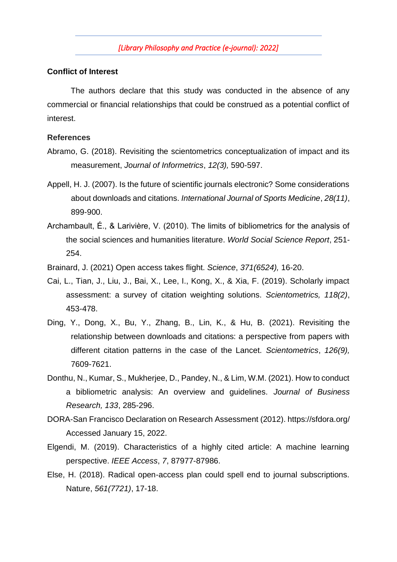#### **Conflict of Interest**

The authors declare that this study was conducted in the absence of any commercial or financial relationships that could be construed as a potential conflict of interest.

#### **References**

- Abramo, G. (2018). Revisiting the scientometrics conceptualization of impact and its measurement, *Journal of Informetrics*, *12(3),* 590-597.
- Appell, H. J. (2007). Is the future of scientific journals electronic? Some considerations about downloads and citations. *International Journal of Sports Medicine*, *28(11)*, 899-900.
- Archambault, É., & Larivière, V. (2010). The limits of bibliometrics for the analysis of the social sciences and humanities literature. *World Social Science Report*, 251- 254.
- Brainard, J. (2021) Open access takes flight. *Science*, *371(6524),* 16-20.
- Cai, L., Tian, J., Liu, J., Bai, X., Lee, I., Kong, X., & Xia, F. (2019). Scholarly impact assessment: a survey of citation weighting solutions. *Scientometrics, 118(2)*, 453-478.
- Ding, Y., Dong, X., Bu, Y., Zhang, B., Lin, K., & Hu, B. (2021). Revisiting the relationship between downloads and citations: a perspective from papers with different citation patterns in the case of the Lancet. *Scientometrics*, *126(9),* 7609-7621.
- Donthu, N., Kumar, S., Mukherjee, D., Pandey, N., & Lim, W.M. (2021). How to conduct a bibliometric analysis: An overview and guidelines. *Journal of Business Research, 133*, 285-296.
- DORA-San Francisco Declaration on Research Assessment (2012). https://sfdora.org/ Accessed January 15, 2022.
- Elgendi, M. (2019). Characteristics of a highly cited article: A machine learning perspective. *IEEE Access*, *7*, 87977-87986.
- Else, H. (2018). Radical open-access plan could spell end to journal subscriptions. Nature, *561(7721)*, 17-18.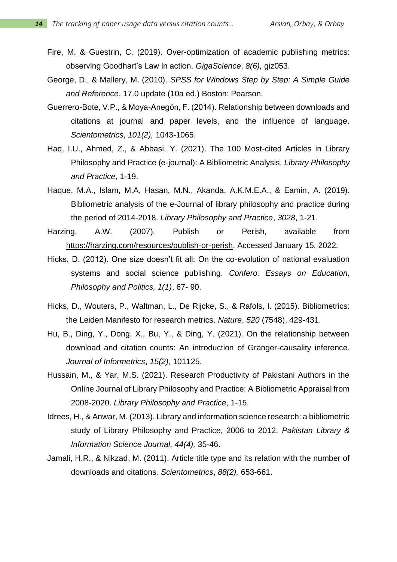- Fire, M. & Guestrin, C. (2019). Over-optimization of academic publishing metrics: observing Goodhart's Law in action. *GigaScience*, *8(6),* giz053.
- George, D., & Mallery, M. (2010). *SPSS for Windows Step by Step: A Simple Guide and Reference*, 17.0 update (10a ed.) Boston: Pearson.
- Guerrero-Bote, V.P., & Moya-Anegón, F. (2014). Relationship between downloads and citations at journal and paper levels, and the influence of language. *Scientometrics*, *101(2),* 1043-1065.
- Haq, I.U., Ahmed, Z., & Abbasi, Y. (2021). The 100 Most-cited Articles in Library Philosophy and Practice (e-journal): A Bibliometric Analysis. *Library Philosophy and Practice*, 1-19.
- Haque, M.A., Islam, M.A, Hasan, M.N., Akanda, A.K.M.E.A., & Eamin, A. (2019). Bibliometric analysis of the e-Journal of library philosophy and practice during the period of 2014-2018. *Library Philosophy and Practice*, *3028*, 1-21.
- Harzing, A.W. (2007). Publish or Perish, available from [https://harzing.com/resources/publish-or-perish,](https://harzing.com/resources/publish-or-perish) Accessed January 15, 2022.
- Hicks, D. (2012). One size doesn't fit all: On the co-evolution of national evaluation systems and social science publishing. *Confero: Essays on Education, Philosophy and Politics, 1(1)*, 67- 90.
- Hicks, D., Wouters, P., Waltman, L., De Rijcke, S., & Rafols, I. (2015). Bibliometrics: the Leiden Manifesto for research metrics. *Nature*, *520* (7548), 429-431.
- Hu, B., Ding, Y., Dong, X., Bu, Y., & Ding, Y. (2021). On the relationship between download and citation counts: An introduction of Granger-causality inference. *Journal of Informetrics*, *15(2),* 101125.
- Hussain, M., & Yar, M.S. (2021). Research Productivity of Pakistani Authors in the Online Journal of Library Philosophy and Practice: A Bibliometric Appraisal from 2008-2020. *Library Philosophy and Practice*, 1-15.
- Idrees, H., & Anwar, M. (2013). Library and information science research: a bibliometric study of Library Philosophy and Practice, 2006 to 2012. *Pakistan Library & Information Science Journal, 44(4),* 35-46.
- Jamali, H.R., & Nikzad, M. (2011). Article title type and its relation with the number of downloads and citations. *Scientometrics*, *88(2),* 653-661.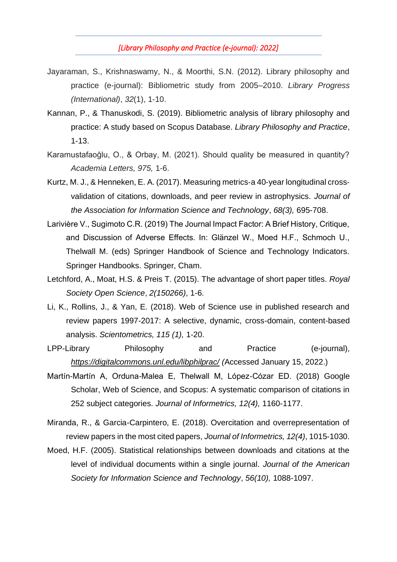- Jayaraman, S., Krishnaswamy, N., & Moorthi, S.N. (2012). Library philosophy and practice (e-journal): Bibliometric study from 2005–2010. *Library Progress (International)*, *32*(1), 1-10.
- Kannan, P., & Thanuskodi, S. (2019). Bibliometric analysis of library philosophy and practice: A study based on Scopus Database. *Library Philosophy and Practice*, 1-13.
- Karamustafaoğlu, O., & Orbay, M. (2021). Should quality be measured in quantity? *Academia Letters, 975,* 1-6.
- Kurtz, M. J., & Henneken, E. A. (2017). Measuring metrics‐a 40‐year longitudinal cross‐ validation of citations, downloads, and peer review in astrophysics. *Journal of the Association for Information Science and Technology*, *68(3),* 695-708.
- Larivière V., Sugimoto C.R. (2019) The Journal Impact Factor: A Brief History, Critique, and Discussion of Adverse Effects. In: Glänzel W., Moed H.F., Schmoch U., Thelwall M. (eds) Springer Handbook of Science and Technology Indicators. Springer Handbooks. Springer, Cham.
- Letchford, A., Moat, H.S. & Preis T. (2015). The advantage of short paper titles. *Royal Society Open Science*, *2(150266)*, 1-6.
- Li, K., Rollins, J., & Yan, E. (2018). Web of Science use in published research and review papers 1997-2017: A selective, dynamic, cross-domain, content-based analysis. *Scientometrics, 115 (1),* 1-20.
- LPP-Library Philosophy and Practice (e-journal), *<https://digitalcommons.unl.edu/libphilprac/> (*Accessed January 15, 2022.)
- Martín-Martín A, Orduna-Malea E, Thelwall M, López-Cózar ED. (2018) Google Scholar, Web of Science, and Scopus: A systematic comparison of citations in 252 subject categories. *Journal of Informetrics, 12(4),* 1160-1177.
- Miranda, R., & Garcia-Carpintero, E. (2018). Overcitation and overrepresentation of review papers in the most cited papers, *Journal of Informetrics, 12(4)*, 1015-1030.
- Moed, H.F. (2005). Statistical relationships between downloads and citations at the level of individual documents within a single journal. *Journal of the American Society for Information Science and Technology*, *56(10),* 1088-1097.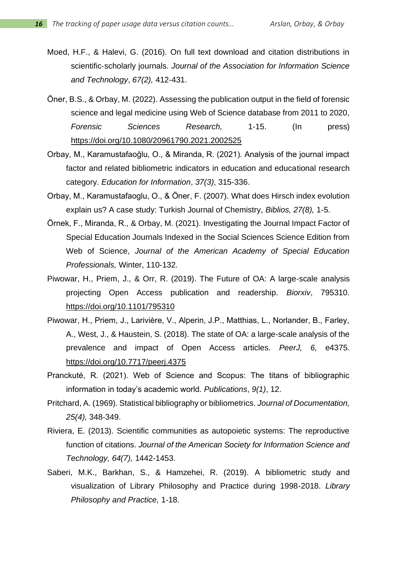- Moed, H.F., & Halevi, G. (2016). On full text download and citation distributions in scientific‐scholarly journals. *Journal of the Association for Information Science and Technology*, *67(2),* 412-431.
- Öner, B.S., & Orbay, M. (2022). Assessing the publication output in the field of forensic science and legal medicine using Web of Science database from 2011 to 2020, *Forensic Sciences Research,* 1-15. (In press) <https://doi.org/10.1080/20961790.2021.2002525>
- Orbay, M., Karamustafaoğlu, O., & Miranda, R. (2021). Analysis of the journal impact factor and related bibliometric indicators in education and educational research category. *Education for Information*, *37(3)*, 315-336.
- Orbay, M., Karamustafaoglu, O., & Öner, F. (2007). What does Hirsch index evolution explain us? A case study: Turkish Journal of Chemistry, *Biblios, 27(8),* 1-5.
- Örnek, F., Miranda, R., & Orbay, M. (2021). Investigating the Journal Impact Factor of Special Education Journals Indexed in the Social Sciences Science Edition from Web of Science, *Journal of the American Academy of Special Education Professionals,* Winter, 110-132.
- Piwowar, H., Priem, J., & Orr, R. (2019). The Future of OA: A large-scale analysis projecting Open Access publication and readership. *Biorxiv*, 795310. https://doi.org[/10.1101/795310](https://doi.org/10.1101/795310)
- Piwowar, H., Priem, J., Larivière, V., Alperin, J.P., Matthias, L., Norlander, B., Farley, A., West, J., & Haustein, S. (2018). The state of OA: a large-scale analysis of the prevalence and impact of Open Access articles. *PeerJ, 6,* e4375. https://doi.org[/10.7717/peerj.4375](https://doi.org/10.7717/peerj.4375)
- Pranckutė, R. (2021). Web of Science and Scopus: The titans of bibliographic information in today's academic world. *Publications*, *9(1)*, 12.
- Pritchard, A. (1969). Statistical bibliography or bibliometrics. *Journal of Documentation, 25(4),* 348-349.
- Riviera, E. (2013). Scientific communities as autopoietic systems: The reproductive function of citations. *Journal of the American Society for Information Science and Technology, 64(7),* 1442-1453.
- Saberi, M.K., Barkhan, S., & Hamzehei, R. (2019). A bibliometric study and visualization of Library Philosophy and Practice during 1998-2018. *Library Philosophy and Practice,* 1-18.